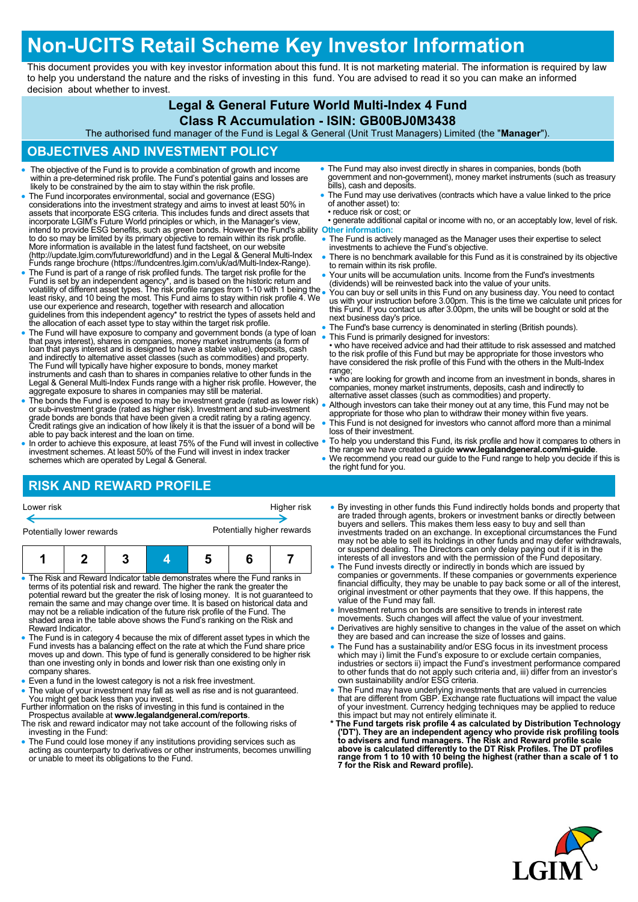## **Non-UCITS Retail Scheme Key Investor Information**

This document provides you with key investor information about this fund. It is not marketing material. The information is required by law to help you understand the nature and the risks of investing in this fund. You are advised to read it so you can make an informed decision about whether to invest.

## **Legal & General Future World Multi-Index 4 Fund**

#### **Class R Accumulation - ISIN: GB00BJ0M3438**

The authorised fund manager of the Fund is Legal & General (Unit Trust Managers) Limited (the "**Manager**").

### **OBJECTIVES AND INVESTMENT POLICY**

- The objective of the Fund is to provide a combination of growth and income within a pre-determined risk profile. The Fund's potential gains and losses are likely to be constrained by the aim to stay within the risk profi
- The Fund incorporates environmental, social and governance (ESG) considerations into the investment strategy and aims to invest at least 50% in<br>assets that incorporate ESG criteria. This includes funds and direct assets that<br>incorporate LGIM's Future World principles or which, in the Ma intend to provide ESG benefits, such as green bonds. However the Fund's ability to do so may be limited by its primary objective to remain within its risk profile. **Other information:** More information is available in the latest fund factsheet, on our website (http://update.lgim.com/futureworldfund) and in the Legal & General Multi-Index Funds range brochure (https://fundcentres.lgim.com/uk/ad/Multi-Index-Range).
- The Fund is part of a range of risk profiled funds. The target risk profile for the Fund is set by an independent agency\*, and is based on the historic return and<br>volatility of different asset types. The risk profile ranges from 1-10 with 1 being the<br>least risky, and 10 being the most. This Fund aims to s guidelines from this independent agency\* to restrict the types of assets held and the allocation of each asset type to stay within the target risk profile.
- The Fund will have exposure to company and government bonds (a type of loan<br>that pays interest), shares in companies, money market instruments (a form of<br>loan that pays interest and is designed to have a stable value), d The Fund will typically have higher exposure to bonds, money market instruments and cash than to shares in companies relative to other funds in the Legal & General Multi-Index Funds range with a higher risk profile. However, the aggregate exposure to shares in companies may still be material.
- The bonds the Fund is exposed to may be investment grade (rated as lower risk) or sub-investment grade (rated as higher risk). Investment and sub-investment grade bonds are bonds that have been given a credit rating by a rating agency. Credit ratings give an indication of how likely it is that the issuer of a bond will be able to pay back interest and the loan on time.
- In order to achieve this exposure, at least 75% of the Fund will invest in collective investment schemes. At least 50% of the Fund will invest in index tracker schemes which are operated by Legal & General.
- The Fund may also invest directly in shares in companies, bonds (both government and non-government), money market instruments (such as treasury bills), cash and deposits.
- The Fund may use derivatives (contracts which have a value linked to the price of another asset) to: • reduce risk or cost; or
- generate additional capital or income with no, or an acceptably low, level of risk.
- The Fund is actively managed as the Manager uses their expertise to select investments to achieve the Fund's objective.
- There is no benchmark available for this Fund as it is constrained by its objective to remain within its risk profile.
- Your units will be accumulation units. Income from the Fund's investments (dividends) will be reinvested back into the value of your units.
- You can buy or sell units in this Fund on any business day. You need to contact us with your instruction before 3.00pm. This is the time we calculate unit prices for this Fund. If you contact us after 3.00pm, the units will be bought or sold at the next business day's price.
- The Fund's base currency is denominated in sterling (British pounds).
- This Fund is primarily designed for investors:
	- who have received advice and had their attitude to risk assessed and matched to the risk profile of this Fund but may be appropriate for those investors who have considered the risk profile of this Fund with the others in the Multi-Index range;

• who are looking for growth and income from an investment in bonds, shares in companies, money market instruments, deposits, cash and indirectly to alternative asset classes (such as commodities) and property.

- Although investors can take their money out at any time, this Fund may not be appropriate for those who plan to withdraw their money within five years.
- This Fund is not designed for investors who cannot afford more than a minimal loss of their investment.
- To help you understand this Fund, its risk profile and how it compares to others in the range we have created a guide **www.legalandgeneral.com/mi-guide**.
- We recommend you read our guide to the Fund range to help you decide if this is the right fund for you.

## **RISK AND REWARD PROFILE**

Potentially lower rewards **Potentially higher rewards** 

Higher risk



- The Risk and Reward Indicator table demonstrates where the Fund ranks in terms of its potential risk and reward. The higher the rank the greater the potential reward but the greater the risk of losing money. It is not guaranteed to remain the same and may change over time. It is based on historical data and may not be a reliable indication of the future risk profile of the Fund. The shaded area in the table above shows the Fund's ranking on the Risk and Reward Indicator.
- The Fund is in category 4 because the mix of different asset types in which the Fund invests has a balancing effect on the rate at which the Fund share price moves up and down. This type of fund is generally considered to be higher risk than one investing only in bonds and lower risk than one existing only in company shares.
- Even a fund in the lowest category is not a risk free investment.
- The value of your investment may fall as well as rise and is not guaranteed. You might get back less than you invest. Further information on the risks of investing in this fund is contained in the
- Prospectus available at **www.legalandgeneral.com/reports**. The risk and reward indicator may not take account of the following risks of
- investing in the Fund:
- The Fund could lose money if any institutions providing services such as acting as counterparty to derivatives or other instruments, becomes unwilling or unable to meet its obligations to the Fund.
- By investing in other funds this Fund indirectly holds bonds and property that are traded fhrough agents, brokers or investment banks or directly between<br>buyers and sellers. This makes them less easy to buy and sell than<br>investments traded on an exchange. In exceptional circumstances the Fund<br>imay no or suspend dealing. The Directors can only delay paying out if it is in the interests of all investors and with the permission of the Fund depositary.
- The Fund invests directly or indirectly in bonds which are issued by<br>companies or governments. If these companies or governments experience<br>financial difficulty, they may be unable to pay back some or all of the interest value of the Fund may fall.
- . Investment returns on bonds are sensitive to trends in interest rate
- movements. Such changes will affect the value of your investment. Derivatives are highly sensitive to changes in the value of the asset on which they are based and can increase the size of losses and gains.
- The Fund has a sustainability and/or ESG focus in its investment process which may i) limit the Fund's exposure to or exclude certain companies, industries or sectors ii) impact the Fund's investment performance compared to other funds that do not apply such criteria and, iii) differ from an investor's own sustainability and/or ESG criteria.
- The Fund may have underlying investments that are valued in currencies<br>that are different from GBP. Exchange rate fluctuations will impact the value<br>of your investment. Currency hedging techniques may be applied to reduc
- \* The Fund targets risk profile 4 as calculated by Distribution Technology ('DT'). They are an independent agency who provide risk profiling tools to advisers and fund managers. The Risk and Reward profile scale above is **7 for the Risk and Reward profile).**